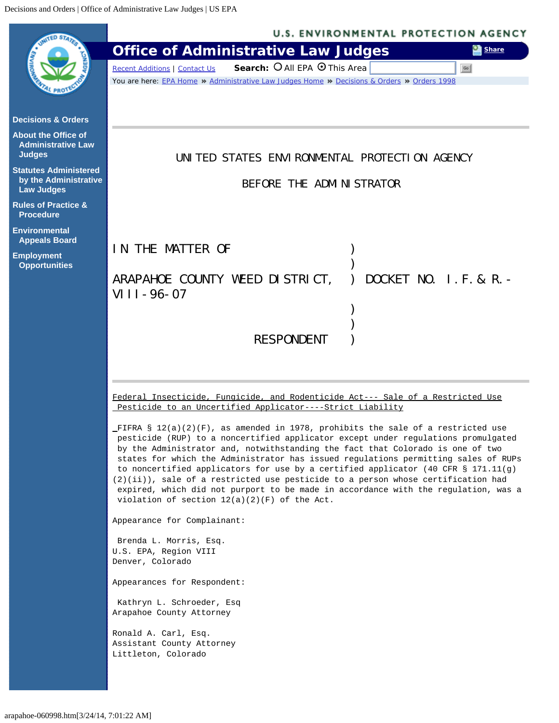<span id="page-0-0"></span>

|                                                         | <b>U.S. ENVIRONMENTAL PROTECTION AGENCY</b>                                                                                                                              |
|---------------------------------------------------------|--------------------------------------------------------------------------------------------------------------------------------------------------------------------------|
|                                                         | <b>Office of Administrative Law Judges</b><br><b>Share</b>                                                                                                               |
|                                                         | Search: O All EPA O This Area<br><b>Recent Additions   Contact Us</b><br>Go                                                                                              |
|                                                         | You are here: EPA Home * Administrative Law Judges Home * Decisions & Orders * Orders 1998                                                                               |
|                                                         |                                                                                                                                                                          |
| <b>Decisions &amp; Orders</b>                           |                                                                                                                                                                          |
| <b>About the Office of</b><br><b>Administrative Law</b> |                                                                                                                                                                          |
| <b>Judges</b>                                           | UNITED STATES ENVIRONMENTAL PROTECTION AGENCY                                                                                                                            |
| <b>Statutes Administered</b><br>by the Administrative   |                                                                                                                                                                          |
| <b>Law Judges</b>                                       | BEFORE THE ADMINISTRATOR                                                                                                                                                 |
| <b>Rules of Practice &amp;</b><br><b>Procedure</b>      |                                                                                                                                                                          |
| <b>Environmental</b>                                    |                                                                                                                                                                          |
| <b>Appeals Board</b>                                    | IN THE MATTER OF                                                                                                                                                         |
| <b>Employment</b><br><b>Opportunities</b>               |                                                                                                                                                                          |
|                                                         | ARAPAHOE COUNTY WEED DISTRICT,<br>DOCKET NO. I.F. & R. -                                                                                                                 |
|                                                         | $VIII - 96 - 07$                                                                                                                                                         |
|                                                         |                                                                                                                                                                          |
|                                                         |                                                                                                                                                                          |
|                                                         | <b>RESPONDENT</b>                                                                                                                                                        |
|                                                         |                                                                                                                                                                          |
|                                                         |                                                                                                                                                                          |
|                                                         | Federal Insecticide, Fungicide, and Rodenticide Act--- Sale of a Restricted Use                                                                                          |
|                                                         | Pesticide to an Uncertified Applicator----Strict Liability                                                                                                               |
|                                                         | _FIFRA § $12(a)(2)(F)$ , as amended in 1978, prohibits the sale of a restricted use<br>pesticide (RUP) to a noncertified applicator except under regulations promulgated |
|                                                         | by the Administrator and, notwithstanding the fact that Colorado is one of two<br>states for which the Administrator has issued regulations permitting sales of RUPs     |
|                                                         | to noncertified applicators for use by a certified applicator (40 CFR $\S$ 171.11(g)                                                                                     |
|                                                         | (2)(ii)), sale of a restricted use pesticide to a person whose certification had<br>expired, which did not purport to be made in accordance with the regulation, was a   |
|                                                         | violation of section $12(a)(2)(F)$ of the Act.                                                                                                                           |
|                                                         | Appearance for Complainant:                                                                                                                                              |
|                                                         | Brenda L. Morris, Esq.                                                                                                                                                   |
|                                                         | U.S. EPA, Region VIII<br>Denver, Colorado                                                                                                                                |
|                                                         | Appearances for Respondent:                                                                                                                                              |
|                                                         |                                                                                                                                                                          |
|                                                         | Kathryn L. Schroeder, Esq<br>Arapahoe County Attorney                                                                                                                    |
|                                                         | Ronald A. Carl, Esq.                                                                                                                                                     |
|                                                         | Assistant County Attorney                                                                                                                                                |
|                                                         | Littleton, Colorado                                                                                                                                                      |
|                                                         |                                                                                                                                                                          |
|                                                         |                                                                                                                                                                          |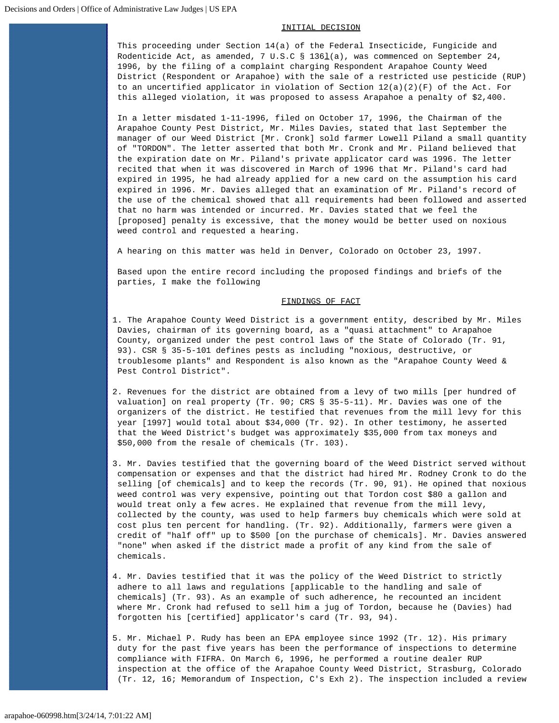#### INITIAL DECISION

This proceeding under Section 14(a) of the Federal Insecticide, Fungicide and Rodenticide Act, as amended, 7 U.S.C § 136 $\underline{1}$ (a), was commenced on September 24, 1996, by the filing of a complaint charging Respondent Arapahoe County Weed District (Respondent or Arapahoe) with the sale of a restricted use pesticide (RUP) to an uncertified applicator in violation of Section  $12(a)(2)(F)$  of the Act. For this alleged violation, it was proposed to assess Arapahoe a penalty of \$2,400.

In a letter misdated 1-11-1996, filed on October 17, 1996, the Chairman of the Arapahoe County Pest District, Mr. Miles Davies, stated that last September the manager of our Weed District [Mr. Cronk] sold farmer Lowell Piland a small quantity of "TORDON". The letter asserted that both Mr. Cronk and Mr. Piland believed that the expiration date on Mr. Piland's private applicator card was 1996. The letter recited that when it was discovered in March of 1996 that Mr. Piland's card had expired in 1995, he had already applied for a new card on the assumption his card expired in 1996. Mr. Davies alleged that an examination of Mr. Piland's record of the use of the chemical showed that all requirements had been followed and asserted that no harm was intended or incurred. Mr. Davies stated that we feel the [proposed] penalty is excessive, that the money would be better used on noxious weed control and requested a hearing.

A hearing on this matter was held in Denver, Colorado on October 23, 1997.

Based upon the entire record including the proposed findings and briefs of the parties, I make the following

## FINDINGS OF FACT

- 1. The Arapahoe County Weed District is a government entity, described by Mr. Miles Davies, chairman of its governing board, as a "quasi attachment" to Arapahoe County, organized under the pest control laws of the State of Colorado (Tr. 91, 93). CSR § 35-5-101 defines pests as including "noxious, destructive, or troublesome plants" and Respondent is also known as the "Arapahoe County Weed & Pest Control District".
- 2. Revenues for the district are obtained from a levy of two mills [per hundred of valuation] on real property (Tr. 90; CRS § 35-5-11). Mr. Davies was one of the organizers of the district. He testified that revenues from the mill levy for this year [1997] would total about \$34,000 (Tr. 92). In other testimony, he asserted that the Weed District's budget was approximately \$35,000 from tax moneys and \$50,000 from the resale of chemicals (Tr. 103).
- 3. Mr. Davies testified that the governing board of the Weed District served without compensation or expenses and that the district had hired Mr. Rodney Cronk to do the selling [of chemicals] and to keep the records (Tr. 90, 91). He opined that noxious weed control was very expensive, pointing out that Tordon cost \$80 a gallon and would treat only a few acres. He explained that revenue from the mill levy, collected by the county, was used to help farmers buy chemicals which were sold at cost plus ten percent for handling. (Tr. 92). Additionally, farmers were given a credit of "half off" up to \$500 [on the purchase of chemicals]. Mr. Davies answered "none" when asked if the district made a profit of any kind from the sale of chemicals.
- 4. Mr. Davies testified that it was the policy of the Weed District to strictly adhere to all laws and regulations [applicable to the handling and sale of chemicals] (Tr. 93). As an example of such adherence, he recounted an incident where Mr. Cronk had refused to sell him a jug of Tordon, because he (Davies) had forgotten his [certified] applicator's card (Tr. 93, 94).
- 5. Mr. Michael P. Rudy has been an EPA employee since 1992 (Tr. 12). His primary duty for the past five years has been the performance of inspections to determine compliance with FIFRA. On March 6, 1996, he performed a routine dealer RUP inspection at the office of the Arapahoe County Weed District, Strasburg, Colorado (Tr. 12, 16; Memorandum of Inspection, C's Exh 2). The inspection included a review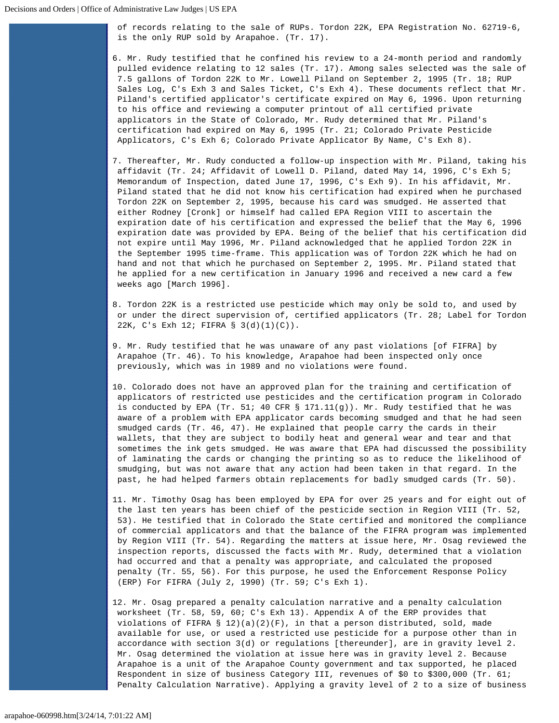of records relating to the sale of RUPs. Tordon 22K, EPA Registration No. 62719-6, is the only RUP sold by Arapahoe. (Tr. 17).

6. Mr. Rudy testified that he confined his review to a 24-month period and randomly pulled evidence relating to 12 sales (Tr. 17). Among sales selected was the sale of 7.5 gallons of Tordon 22K to Mr. Lowell Piland on September 2, 1995 (Tr. 18; RUP Sales Log, C's Exh 3 and Sales Ticket, C's Exh 4). These documents reflect that Mr. Piland's certified applicator's certificate expired on May 6, 1996. Upon returning to his office and reviewing a computer printout of all certified private applicators in the State of Colorado, Mr. Rudy determined that Mr. Piland's certification had expired on May 6, 1995 (Tr. 21; Colorado Private Pesticide Applicators, C's Exh 6; Colorado Private Applicator By Name, C's Exh 8).

7. Thereafter, Mr. Rudy conducted a follow-up inspection with Mr. Piland, taking his affidavit (Tr. 24; Affidavit of Lowell D. Piland, dated May 14, 1996, C's Exh 5; Memorandum of Inspection, dated June 17, 1996, C's Exh 9). In his affidavit, Mr. Piland stated that he did not know his certification had expired when he purchased Tordon 22K on September 2, 1995, because his card was smudged. He asserted that either Rodney [Cronk] or himself had called EPA Region VIII to ascertain the expiration date of his certification and expressed the belief that the May 6, 1996 expiration date was provided by EPA. Being of the belief that his certification did not expire until May 1996, Mr. Piland acknowledged that he applied Tordon 22K in the September 1995 time-frame. This application was of Tordon 22K which he had on hand and not that which he purchased on September 2, 1995. Mr. Piland stated that he applied for a new certification in January 1996 and received a new card a few weeks ago [March 1996].

- 8. Tordon 22K is a restricted use pesticide which may only be sold to, and used by or under the direct supervision of, certified applicators (Tr. 28; Label for Tordon 22K, C's Exh 12; FIFRA § 3(d)(1)(C)).
- 9. Mr. Rudy testified that he was unaware of any past violations [of FIFRA] by Arapahoe (Tr. 46). To his knowledge, Arapahoe had been inspected only once previously, which was in 1989 and no violations were found.
- 10. Colorado does not have an approved plan for the training and certification of applicators of restricted use pesticides and the certification program in Colorado is conducted by EPA (Tr. 51; 40 CFR  $\S$  171.11(g)). Mr. Rudy testified that he was aware of a problem with EPA applicator cards becoming smudged and that he had seen smudged cards (Tr. 46, 47). He explained that people carry the cards in their wallets, that they are subject to bodily heat and general wear and tear and that sometimes the ink gets smudged. He was aware that EPA had discussed the possibility of laminating the cards or changing the printing so as to reduce the likelihood of smudging, but was not aware that any action had been taken in that regard. In the past, he had helped farmers obtain replacements for badly smudged cards (Tr. 50).
- 11. Mr. Timothy Osag has been employed by EPA for over 25 years and for eight out of the last ten years has been chief of the pesticide section in Region VIII (Tr. 52, 53). He testified that in Colorado the State certified and monitored the compliance of commercial applicators and that the balance of the FIFRA program was implemented by Region VIII (Tr. 54). Regarding the matters at issue here, Mr. Osag reviewed the inspection reports, discussed the facts with Mr. Rudy, determined that a violation had occurred and that a penalty was appropriate, and calculated the proposed penalty (Tr. 55, 56). For this purpose, he used the Enforcement Response Policy (ERP) For FIFRA (July 2, 1990) (Tr. 59; C's Exh 1).
- 12. Mr. Osag prepared a penalty calculation narrative and a penalty calculation worksheet (Tr. 58, 59, 60; C's Exh 13). Appendix A of the ERP provides that violations of FIFRA § 12)(a)(2)(F), in that a person distributed, sold, made available for use, or used a restricted use pesticide for a purpose other than in accordance with section 3(d) or regulations [thereunder], are in gravity level 2. Mr. Osag determined the violation at issue here was in gravity level 2. Because Arapahoe is a unit of the Arapahoe County government and tax supported, he placed Respondent in size of business Category III, revenues of \$0 to \$300,000 (Tr. 61; Penalty Calculation Narrative). Applying a gravity level of 2 to a size of business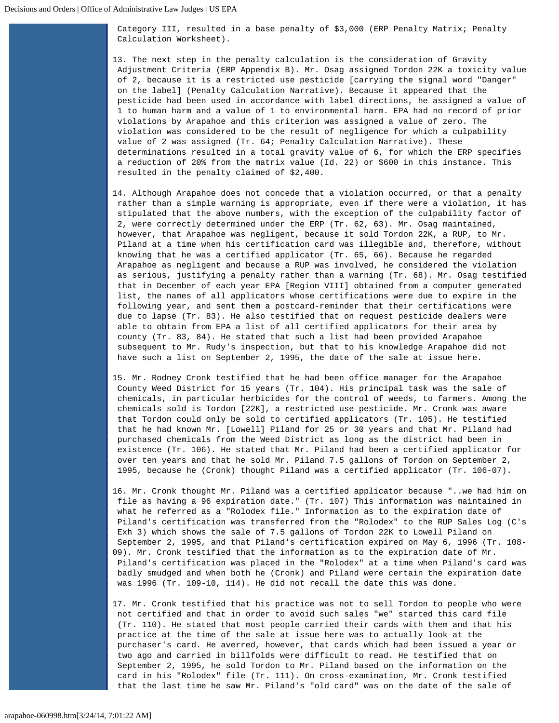Category III, resulted in a base penalty of \$3,000 (ERP Penalty Matrix; Penalty Calculation Worksheet).

13. The next step in the penalty calculation is the consideration of Gravity Adjustment Criteria (ERP Appendix B). Mr. Osag assigned Tordon 22K a toxicity value of 2, because it is a restricted use pesticide [carrying the signal word "Danger" on the label] (Penalty Calculation Narrative). Because it appeared that the pesticide had been used in accordance with label directions, he assigned a value of 1 to human harm and a value of 1 to environmental harm. EPA had no record of prior violations by Arapahoe and this criterion was assigned a value of zero. The violation was considered to be the result of negligence for which a culpability value of 2 was assigned (Tr. 64; Penalty Calculation Narrative). These determinations resulted in a total gravity value of 6, for which the ERP specifies a reduction of 20% from the matrix value (Id. 22) or \$600 in this instance. This resulted in the penalty claimed of \$2,400.

- 14. Although Arapahoe does not concede that a violation occurred, or that a penalty rather than a simple warning is appropriate, even if there were a violation, it has stipulated that the above numbers, with the exception of the culpability factor of 2, were correctly determined under the ERP (Tr. 62, 63). Mr. Osag maintained, however, that Arapahoe was negligent, because it sold Tordon 22K, a RUP, to Mr. Piland at a time when his certification card was illegible and, therefore, without knowing that he was a certified applicator (Tr. 65, 66). Because he regarded Arapahoe as negligent and because a RUP was involved, he considered the violation as serious, justifying a penalty rather than a warning (Tr. 68). Mr. Osag testified that in December of each year EPA [Region VIII] obtained from a computer generated list, the names of all applicators whose certifications were due to expire in the following year, and sent them a postcard-reminder that their certifications were due to lapse (Tr. 83). He also testified that on request pesticide dealers were able to obtain from EPA a list of all certified applicators for their area by county (Tr. 83, 84). He stated that such a list had been provided Arapahoe subsequent to Mr. Rudy's inspection, but that to his knowledge Arapahoe did not have such a list on September 2, 1995, the date of the sale at issue here.
- 15. Mr. Rodney Cronk testified that he had been office manager for the Arapahoe County Weed District for 15 years (Tr. 104). His principal task was the sale of chemicals, in particular herbicides for the control of weeds, to farmers. Among the chemicals sold is Tordon [22K], a restricted use pesticide. Mr. Cronk was aware that Tordon could only be sold to certified applicators (Tr. 105). He testified that he had known Mr. [Lowell] Piland for 25 or 30 years and that Mr. Piland had purchased chemicals from the Weed District as long as the district had been in existence (Tr. 106). He stated that Mr. Piland had been a certified applicator for over ten years and that he sold Mr. Piland 7.5 gallons of Tordon on September 2, 1995, because he (Cronk) thought Piland was a certified applicator (Tr. 106-07).
- 16. Mr. Cronk thought Mr. Piland was a certified applicator because "..we had him on file as having a 96 expiration date." (Tr. 107) This information was maintained in what he referred as a "Rolodex file." Information as to the expiration date of Piland's certification was transferred from the "Rolodex" to the RUP Sales Log (C's Exh 3) which shows the sale of 7.5 gallons of Tordon 22K to Lowell Piland on September 2, 1995, and that Piland's certification expired on May 6, 1996 (Tr. 108- 09). Mr. Cronk testified that the information as to the expiration date of Mr. Piland's certification was placed in the "Rolodex" at a time when Piland's card was badly smudged and when both he (Cronk) and Piland were certain the expiration date was 1996 (Tr. 109-10, 114). He did not recall the date this was done.
- 17. Mr. Cronk testified that his practice was not to sell Tordon to people who were not certified and that in order to avoid such sales "we" started this card file (Tr. 110). He stated that most people carried their cards with them and that his practice at the time of the sale at issue here was to actually look at the purchaser's card. He averred, however, that cards which had been issued a year or two ago and carried in billfolds were difficult to read. He testified that on September 2, 1995, he sold Tordon to Mr. Piland based on the information on the card in his "Rolodex" file (Tr. 111). On cross-examination, Mr. Cronk testified that the last time he saw Mr. Piland's "old card" was on the date of the sale of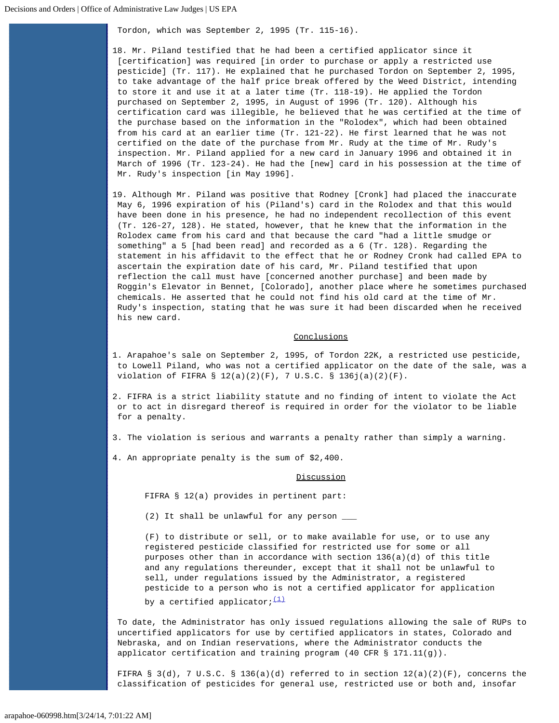Tordon, which was September 2, 1995 (Tr. 115-16).

18. Mr. Piland testified that he had been a certified applicator since it [certification] was required [in order to purchase or apply a restricted use pesticide] (Tr. 117). He explained that he purchased Tordon on September 2, 1995, to take advantage of the half price break offered by the Weed District, intending to store it and use it at a later time (Tr. 118-19). He applied the Tordon purchased on September 2, 1995, in August of 1996 (Tr. 120). Although his certification card was illegible, he believed that he was certified at the time of the purchase based on the information in the "Rolodex", which had been obtained from his card at an earlier time (Tr. 121-22). He first learned that he was not certified on the date of the purchase from Mr. Rudy at the time of Mr. Rudy's inspection. Mr. Piland applied for a new card in January 1996 and obtained it in March of 1996 (Tr. 123-24). He had the [new] card in his possession at the time of Mr. Rudy's inspection [in May 1996].

19. Although Mr. Piland was positive that Rodney [Cronk] had placed the inaccurate May 6, 1996 expiration of his (Piland's) card in the Rolodex and that this would have been done in his presence, he had no independent recollection of this event (Tr. 126-27, 128). He stated, however, that he knew that the information in the Rolodex came from his card and that because the card "had a little smudge or something" a 5 [had been read] and recorded as a 6 (Tr. 128). Regarding the statement in his affidavit to the effect that he or Rodney Cronk had called EPA to ascertain the expiration date of his card, Mr. Piland testified that upon reflection the call must have [concerned another purchase] and been made by Roggin's Elevator in Bennet, [Colorado], another place where he sometimes purchased chemicals. He asserted that he could not find his old card at the time of Mr. Rudy's inspection, stating that he was sure it had been discarded when he received his new card.

### Conclusions

1. Arapahoe's sale on September 2, 1995, of Tordon 22K, a restricted use pesticide, to Lowell Piland, who was not a certified applicator on the date of the sale, was a violation of FIFRA § 12(a)(2)(F), 7 U.S.C. § 136j(a)(2)(F).

2. FIFRA is a strict liability statute and no finding of intent to violate the Act or to act in disregard thereof is required in order for the violator to be liable for a penalty.

- 3. The violation is serious and warrants a penalty rather than simply a warning.
- 4. An appropriate penalty is the sum of \$2,400.

### **Discussion**

FIFRA § 12(a) provides in pertinent part:

(2) It shall be unlawful for any person \_\_\_

(F) to distribute or sell, or to make available for use, or to use any registered pesticide classified for restricted use for some or all purposes other than in accordance with section 136(a)(d) of this title and any regulations thereunder, except that it shall not be unlawful to sell, under regulations issued by the Administrator, a registered pesticide to a person who is not a certified applicator for application by a certified applicator;  $(1)$ 

To date, the Administrator has only issued regulations allowing the sale of RUPs to uncertified applicators for use by certified applicators in states, Colorado and Nebraska, and on Indian reservations, where the Administrator conducts the applicator certification and training program (40 CFR § 171.11(g)).

FIFRA § 3(d), 7 U.S.C. § 136(a)(d) referred to in section  $12(a)(2)(F)$ , concerns the classification of pesticides for general use, restricted use or both and, insofar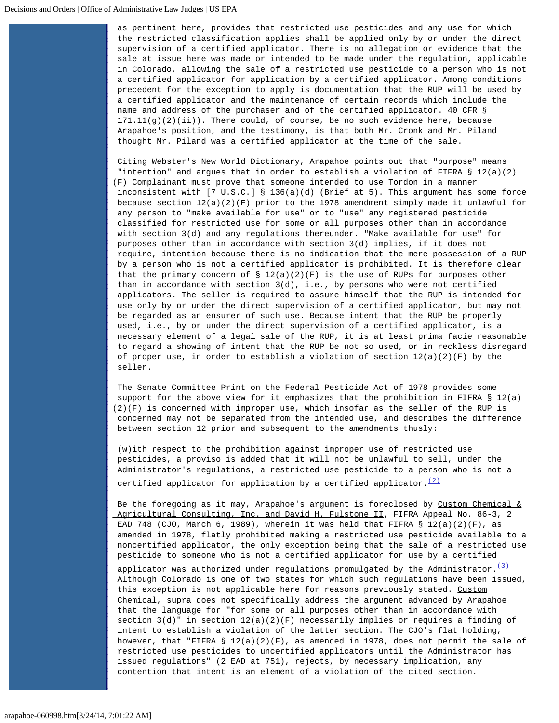as pertinent here, provides that restricted use pesticides and any use for which the restricted classification applies shall be applied only by or under the direct supervision of a certified applicator. There is no allegation or evidence that the sale at issue here was made or intended to be made under the regulation, applicable in Colorado, allowing the sale of a restricted use pesticide to a person who is not a certified applicator for application by a certified applicator. Among conditions precedent for the exception to apply is documentation that the RUP will be used by a certified applicator and the maintenance of certain records which include the name and address of the purchaser and of the certified applicator. 40 CFR §  $171.11(g)(2)(ii)$ ). There could, of course, be no such evidence here, because Arapahoe's position, and the testimony, is that both Mr. Cronk and Mr. Piland thought Mr. Piland was a certified applicator at the time of the sale.

Citing Webster's New World Dictionary, Arapahoe points out that "purpose" means "intention" and argues that in order to establish a violation of FIFRA § 12(a)(2) (F) Complainant must prove that someone intended to use Tordon in a manner inconsistent with [7 U.S.C.] § 136(a)(d) (Brief at 5). This argument has some force because section  $12(a)(2)(F)$  prior to the 1978 amendment simply made it unlawful for any person to "make available for use" or to "use" any registered pesticide classified for restricted use for some or all purposes other than in accordance with section 3(d) and any regulations thereunder. "Make available for use" for purposes other than in accordance with section 3(d) implies, if it does not require, intention because there is no indication that the mere possession of a RUP by a person who is not a certified applicator is prohibited. It is therefore clear that the primary concern of  $\S 12(a)(2)(F)$  is the use of RUPs for purposes other than in accordance with section 3(d), i.e., by persons who were not certified applicators. The seller is required to assure himself that the RUP is intended for use only by or under the direct supervision of a certified applicator, but may not be regarded as an ensurer of such use. Because intent that the RUP be properly used, i.e., by or under the direct supervision of a certified applicator, is a necessary element of a legal sale of the RUP, it is at least prima facie reasonable to regard a showing of intent that the RUP be not so used, or in reckless disregard of proper use, in order to establish a violation of section  $12(a)(2)(F)$  by the seller.

The Senate Committee Print on the Federal Pesticide Act of 1978 provides some support for the above view for it emphasizes that the prohibition in FIFRA  $\S$  12(a) (2)(F) is concerned with improper use, which insofar as the seller of the RUP is concerned may not be separated from the intended use, and describes the difference between section 12 prior and subsequent to the amendments thusly:

(w)ith respect to the prohibition against improper use of restricted use pesticides, a proviso is added that it will not be unlawful to sell, under the Administrator's regulations, a restricted use pesticide to a person who is not a certified applicator for application by a certified applicator.  $\frac{(2)}{2}$  $\frac{(2)}{2}$  $\frac{(2)}{2}$ 

Be the foregoing as it may, Arapahoe's argument is foreclosed by Custom Chemical  $\&$ Agricultural Consulting, Inc. and David H. Fulstone II, FIFRA Appeal No. 86-3, 2 EAD 748 (CJO, March 6, 1989), wherein it was held that FIFRA  $\S$  12(a)(2)(F), as amended in 1978, flatly prohibited making a restricted use pesticide available to a noncertified applicator, the only exception being that the sale of a restricted use pesticide to someone who is not a certified applicator for use by a certified

applicator was authorized under regulations promulgated by the Administrator. $(3)$  Although Colorado is one of two states for which such regulations have been issued, this exception is not applicable here for reasons previously stated. Custom Chemical, supra does not specifically address the argument advanced by Arapahoe that the language for "for some or all purposes other than in accordance with section  $3(d)$ " in section  $12(a)(2)(F)$  necessarily implies or requires a finding of intent to establish a violation of the latter section. The CJO's flat holding, however, that "FIFRA § 12(a)(2)(F), as amended in 1978, does not permit the sale of restricted use pesticides to uncertified applicators until the Administrator has issued regulations" (2 EAD at 751), rejects, by necessary implication, any contention that intent is an element of a violation of the cited section.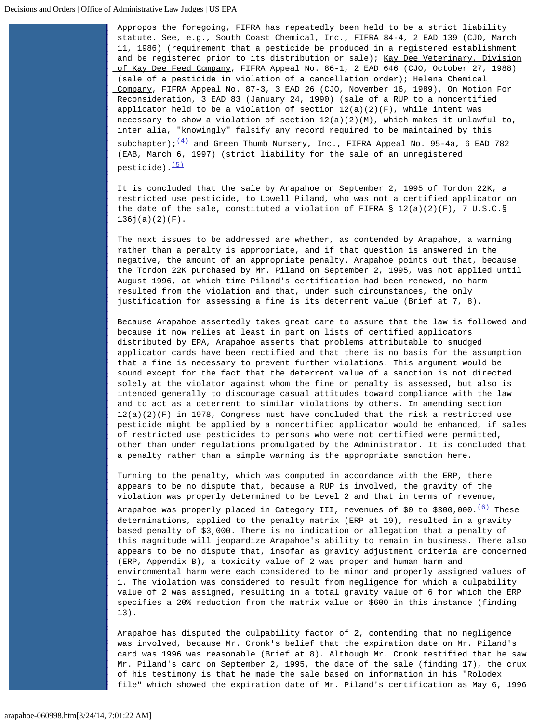Appropos the foregoing, FIFRA has repeatedly been held to be a strict liability statute. See, e.g., South Coast Chemical, Inc., FIFRA 84-4, 2 EAD 139 (CJO, March 11, 1986) (requirement that a pesticide be produced in a registered establishment and be registered prior to its distribution or sale); Kay Dee Veterinary, Division of Kay Dee Feed Company, FIFRA Appeal No. 86-1, 2 EAD 646 (CJO, October 27, 1988) (sale of a pesticide in violation of a cancellation order); Helena Chemical Company, FIFRA Appeal No. 87-3, 3 EAD 26 (CJO, November 16, 1989), On Motion For Reconsideration, 3 EAD 83 (January 24, 1990) (sale of a RUP to a noncertified applicator held to be a violation of section  $12(a)(2)(F)$ , while intent was necessary to show a violation of section 12(a)(2)(M), which makes it unlawful to, inter alia, "knowingly" falsify any record required to be maintained by this

subchapter); $\frac{(4)}{1}$  $\frac{(4)}{1}$  $\frac{(4)}{1}$  and Green Thumb Nursery, Inc., FIFRA Appeal No. 95-4a, 6 EAD 782 (EAB, March 6, 1997) (strict liability for the sale of an unregistered pesticide). [\(5\)](#page-8-1)

It is concluded that the sale by Arapahoe on September 2, 1995 of Tordon 22K, a restricted use pesticide, to Lowell Piland, who was not a certified applicator on the date of the sale, constituted a violation of FIFRA  $\S$  12(a)(2)(F), 7 U.S.C. $\S$  $136j(a)(2)(F)$ .

The next issues to be addressed are whether, as contended by Arapahoe, a warning rather than a penalty is appropriate, and if that question is answered in the negative, the amount of an appropriate penalty. Arapahoe points out that, because the Tordon 22K purchased by Mr. Piland on September 2, 1995, was not applied until August 1996, at which time Piland's certification had been renewed, no harm resulted from the violation and that, under such circumstances, the only justification for assessing a fine is its deterrent value (Brief at 7, 8).

Because Arapahoe assertedly takes great care to assure that the law is followed and because it now relies at least in part on lists of certified applicators distributed by EPA, Arapahoe asserts that problems attributable to smudged applicator cards have been rectified and that there is no basis for the assumption that a fine is necessary to prevent further violations. This argument would be sound except for the fact that the deterrent value of a sanction is not directed solely at the violator against whom the fine or penalty is assessed, but also is intended generally to discourage casual attitudes toward compliance with the law and to act as a deterrent to similar violations by others. In amending section  $12(a)(2)(F)$  in 1978, Congress must have concluded that the risk a restricted use pesticide might be applied by a noncertified applicator would be enhanced, if sales of restricted use pesticides to persons who were not certified were permitted, other than under regulations promulgated by the Administrator. It is concluded that a penalty rather than a simple warning is the appropriate sanction here.

Turning to the penalty, which was computed in accordance with the ERP, there appears to be no dispute that, because a RUP is involved, the gravity of the violation was properly determined to be Level 2 and that in terms of revenue,

Arapahoe was properly placed in Category III, revenues of \$0 to \$300,000. $\frac{(6)}{10}$  $\frac{(6)}{10}$  $\frac{(6)}{10}$  These determinations, applied to the penalty matrix (ERP at 19), resulted in a gravity based penalty of \$3,000. There is no indication or allegation that a penalty of this magnitude will jeopardize Arapahoe's ability to remain in business. There also appears to be no dispute that, insofar as gravity adjustment criteria are concerned (ERP, Appendix B), a toxicity value of 2 was proper and human harm and environmental harm were each considered to be minor and properly assigned values of 1. The violation was considered to result from negligence for which a culpability value of 2 was assigned, resulting in a total gravity value of 6 for which the ERP specifies a 20% reduction from the matrix value or \$600 in this instance (finding 13).

Arapahoe has disputed the culpability factor of 2, contending that no negligence was involved, because Mr. Cronk's belief that the expiration date on Mr. Piland's card was 1996 was reasonable (Brief at 8). Although Mr. Cronk testified that he saw Mr. Piland's card on September 2, 1995, the date of the sale (finding 17), the crux of his testimony is that he made the sale based on information in his "Rolodex file" which showed the expiration date of Mr. Piland's certification as May 6, 1996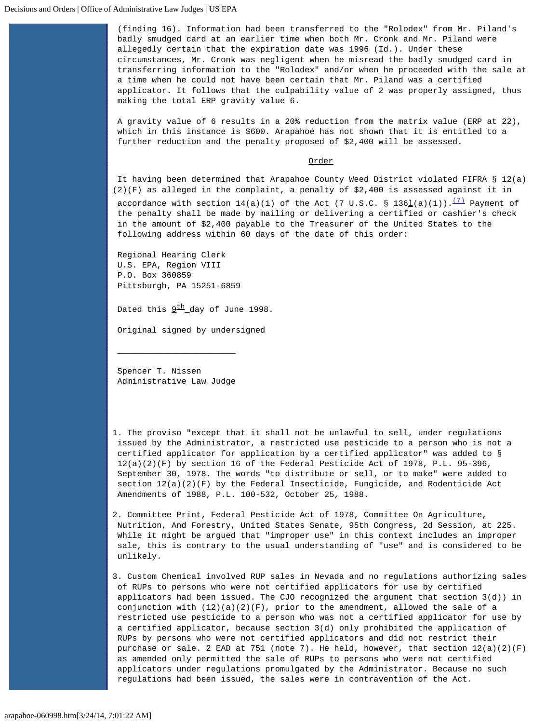(finding 16). Information had been transferred to the "Rolodex" from Mr. Piland's badly smudged card at an earlier time when both Mr. Cronk and Mr. Piland were allegedly certain that the expiration date was 1996 (Id.). Under these circumstances, Mr. Cronk was negligent when he misread the badly smudged card in transferring information to the "Rolodex" and/or when he proceeded with the sale at a time when he could not have been certain that Mr. Piland was a certified applicator. It follows that the culpability value of 2 was properly assigned, thus making the total ERP gravity value 6.

A gravity value of 6 results in a 20% reduction from the matrix value (ERP at 22), which in this instance is \$600. Arapahoe has not shown that it is entitled to a further reduction and the penalty proposed of \$2,400 will be assessed.

# Order

It having been determined that Arapahoe County Weed District violated FIFRA § 12(a) (2)(F) as alleged in the complaint, a penalty of \$2,400 is assessed against it in

accordance with section  $14(a)(1)$  of the Act (7 U.S.C. § 1361(a)(1)).<sup>[\(7\)](#page-8-3)</sup> Payment of the penalty shall be made by mailing or delivering a certified or cashier's check in the amount of \$2,400 payable to the Treasurer of the United States to the following address within 60 days of the date of this order:

Regional Hearing Clerk U.S. EPA, Region VIII P.O. Box 360859 Pittsburgh, PA 15251-6859

Dated this  $9^{\text{th}}$  day of June 1998.

Original signed by undersigned

Spencer T. Nissen Administrative Law Judge

 $\overline{\phantom{a}}$  , which is a set of the set of the set of the set of the set of the set of the set of the set of the set of the set of the set of the set of the set of the set of the set of the set of the set of the set of th

<span id="page-7-0"></span>1. The proviso "except that it shall not be unlawful to sell, under regulations issued by the Administrator, a restricted use pesticide to a person who is not a certified applicator for application by a certified applicator" was added to § 12(a)(2)(F) by section 16 of the Federal Pesticide Act of 1978, P.L. 95-396, September 30, 1978. The words "to distribute or sell, or to make" were added to section  $12(a)(2)(F)$  by the Federal Insecticide, Fungicide, and Rodenticide Act Amendments of 1988, P.L. 100-532, October 25, 1988.

<span id="page-7-1"></span>2. Committee Print, Federal Pesticide Act of 1978, Committee On Agriculture, Nutrition, And Forestry, United States Senate, 95th Congress, 2d Session, at 225. While it might be argued that "improper use" in this context includes an improper sale, this is contrary to the usual understanding of "use" and is considered to be unlikely.

<span id="page-7-2"></span>3. Custom Chemical involved RUP sales in Nevada and no regulations authorizing sales of RUPs to persons who were not certified applicators for use by certified applicators had been issued. The CJO recognized the argument that section 3(d)) in conjunction with  $(12)(a)(2)(F)$ , prior to the amendment, allowed the sale of a restricted use pesticide to a person who was not a certified applicator for use by a certified applicator, because section 3(d) only prohibited the application of RUPs by persons who were not certified applicators and did not restrict their purchase or sale. 2 EAD at 751 (note 7). He held, however, that section  $12(a)(2)(F)$  as amended only permitted the sale of RUPs to persons who were not certified applicators under regulations promulgated by the Administrator. Because no such regulations had been issued, the sales were in contravention of the Act.